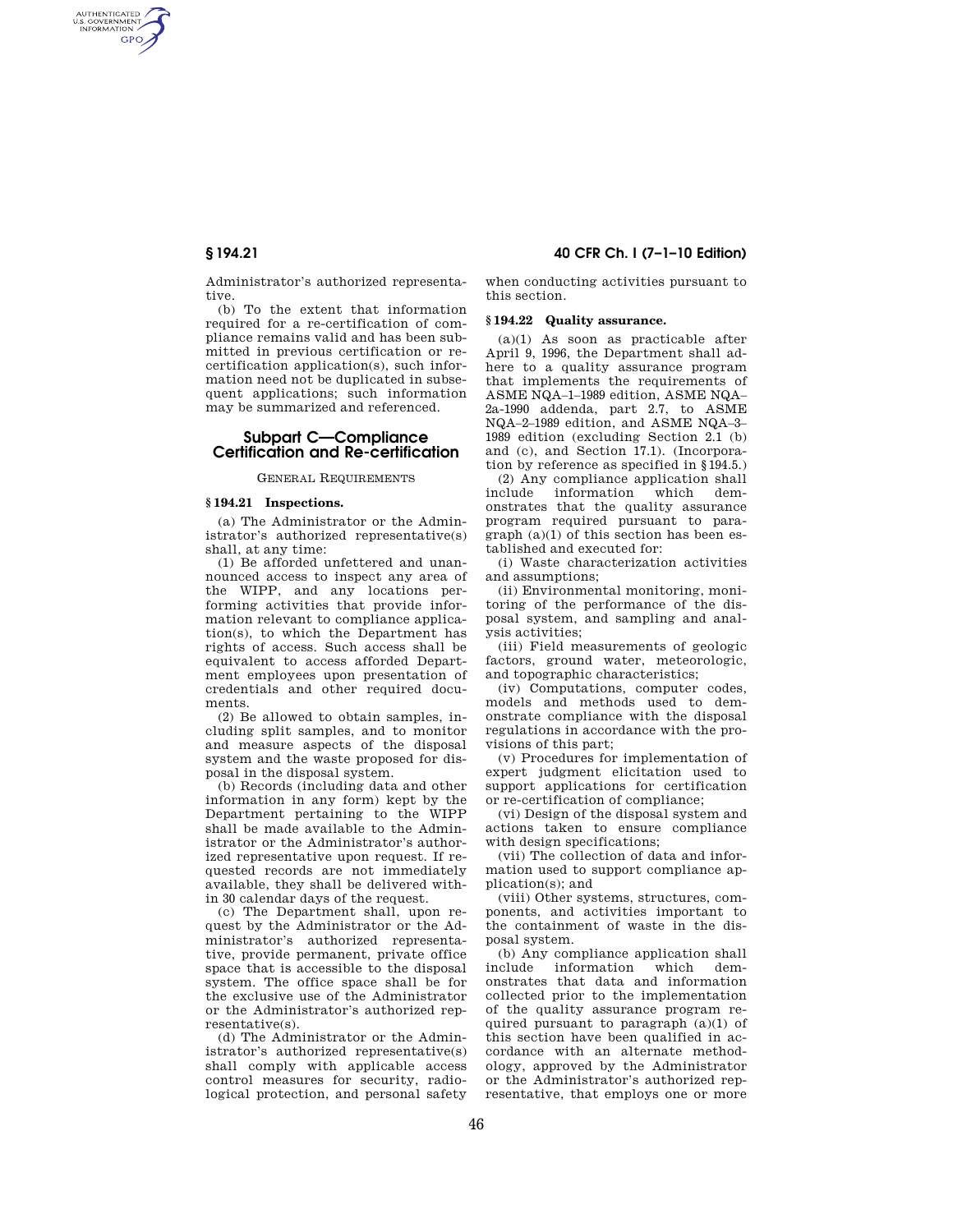AUTHENTICATED<br>U.S. GOVERNMENT<br>INFORMATION **GPO** 

> Administrator's authorized representative.

> (b) To the extent that information required for a re-certification of compliance remains valid and has been submitted in previous certification or recertification application(s), such information need not be duplicated in subsequent applications; such information may be summarized and referenced.

# **Subpart C—Compliance Certification and Re-certification**

## GENERAL REQUIREMENTS

## **§ 194.21 Inspections.**

(a) The Administrator or the Administrator's authorized representative(s) shall, at any time:

(1) Be afforded unfettered and unannounced access to inspect any area of the WIPP, and any locations performing activities that provide information relevant to compliance application(s), to which the Department has rights of access. Such access shall be equivalent to access afforded Department employees upon presentation of credentials and other required documents.

(2) Be allowed to obtain samples, including split samples, and to monitor and measure aspects of the disposal system and the waste proposed for disposal in the disposal system.

(b) Records (including data and other information in any form) kept by the Department pertaining to the WIPP shall be made available to the Administrator or the Administrator's authorized representative upon request. If requested records are not immediately available, they shall be delivered within 30 calendar days of the request.

(c) The Department shall, upon request by the Administrator or the Administrator's authorized representative, provide permanent, private office space that is accessible to the disposal system. The office space shall be for the exclusive use of the Administrator or the Administrator's authorized representative(s).

(d) The Administrator or the Administrator's authorized representative(s) shall comply with applicable access control measures for security, radiological protection, and personal safety

# **§ 194.21 40 CFR Ch. I (7–1–10 Edition)**

when conducting activities pursuant to this section.

### **§ 194.22 Quality assurance.**

(a)(1) As soon as practicable after April 9, 1996, the Department shall adhere to a quality assurance program that implements the requirements of ASME NQA–1–1989 edition, ASME NQA– 2a-1990 addenda, part 2.7, to ASME NQA–2–1989 edition, and ASME NQA–3– 1989 edition (excluding Section 2.1 (b) and (c), and Section 17.1). (Incorporation by reference as specified in §194.5.)

(2) Any compliance application shall include information which demonstrates that the quality assurance program required pursuant to paragraph (a)(1) of this section has been established and executed for:

(i) Waste characterization activities and assumptions;

(ii) Environmental monitoring, monitoring of the performance of the disposal system, and sampling and analysis activities;

(iii) Field measurements of geologic factors, ground water, meteorologic, and topographic characteristics;

(iv) Computations, computer codes, models and methods used to demonstrate compliance with the disposal regulations in accordance with the provisions of this part;

(v) Procedures for implementation of expert judgment elicitation used to support applications for certification or re-certification of compliance;

(vi) Design of the disposal system and actions taken to ensure compliance with design specifications;

(vii) The collection of data and information used to support compliance application(s); and

(viii) Other systems, structures, components, and activities important to the containment of waste in the disposal system.

(b) Any compliance application shall include information which demonstrates that data and information collected prior to the implementation of the quality assurance program required pursuant to paragraph (a)(1) of this section have been qualified in accordance with an alternate methodology, approved by the Administrator or the Administrator's authorized representative, that employs one or more